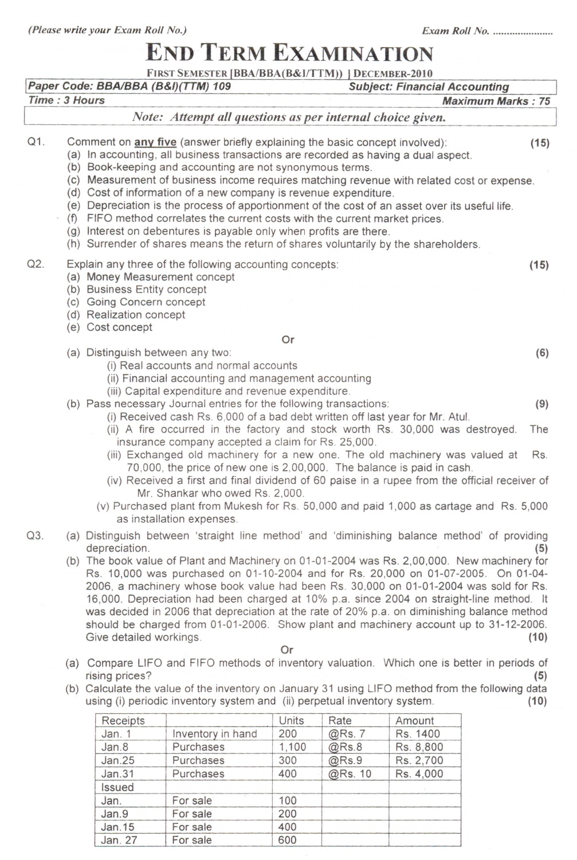Issued

Jan. For sale 100<br>Jan.9 For sale 200

Jan. 15 For sale 400<br>Jan. 27 For sale 600 For sale

Jan.9 For sale

## **END TERM EXAMINATION**

|               |                                                                                             |                                                                                                                                                                                                                                                                                                                                                                                                                                                                                                                                                                                                                                                                                                                                                         | FIRST SEMESTER [BBA/BBA(B&I/TTM))   DECEMBER-2010                                                                                                                                                                                                                                                                                                                                                                                                                                                                                                              |            |         |                                      |                          |  |  |  |
|---------------|---------------------------------------------------------------------------------------------|---------------------------------------------------------------------------------------------------------------------------------------------------------------------------------------------------------------------------------------------------------------------------------------------------------------------------------------------------------------------------------------------------------------------------------------------------------------------------------------------------------------------------------------------------------------------------------------------------------------------------------------------------------------------------------------------------------------------------------------------------------|----------------------------------------------------------------------------------------------------------------------------------------------------------------------------------------------------------------------------------------------------------------------------------------------------------------------------------------------------------------------------------------------------------------------------------------------------------------------------------------------------------------------------------------------------------------|------------|---------|--------------------------------------|--------------------------|--|--|--|
| Time: 3 Hours |                                                                                             | Paper Code: BBA/BBA (B&I)(TTM) 109                                                                                                                                                                                                                                                                                                                                                                                                                                                                                                                                                                                                                                                                                                                      |                                                                                                                                                                                                                                                                                                                                                                                                                                                                                                                                                                |            |         | <b>Subject: Financial Accounting</b> | <b>Maximum Marks: 75</b> |  |  |  |
|               |                                                                                             |                                                                                                                                                                                                                                                                                                                                                                                                                                                                                                                                                                                                                                                                                                                                                         | Note: Attempt all questions as per internal choice given.                                                                                                                                                                                                                                                                                                                                                                                                                                                                                                      |            |         |                                      |                          |  |  |  |
|               |                                                                                             |                                                                                                                                                                                                                                                                                                                                                                                                                                                                                                                                                                                                                                                                                                                                                         |                                                                                                                                                                                                                                                                                                                                                                                                                                                                                                                                                                |            |         |                                      |                          |  |  |  |
| Q1.           |                                                                                             | Comment on any five (answer briefly explaining the basic concept involved):<br>(15)<br>(a) In accounting, all business transactions are recorded as having a dual aspect.<br>(b) Book-keeping and accounting are not synonymous terms.<br>(c) Measurement of business income requires matching revenue with related cost or expense.<br>(d) Cost of information of a new company is revenue expenditure.<br>(e) Depreciation is the process of apportionment of the cost of an asset over its useful life.<br>(f) FIFO method correlates the current costs with the current market prices.<br>(g) Interest on debentures is payable only when profits are there.<br>(h) Surrender of shares means the return of shares voluntarily by the shareholders. |                                                                                                                                                                                                                                                                                                                                                                                                                                                                                                                                                                |            |         |                                      |                          |  |  |  |
| Q2.           |                                                                                             | (a) Money Measurement concept<br>(b) Business Entity concept<br>(c) Going Concern concept<br>(d) Realization concept<br>(e) Cost concept                                                                                                                                                                                                                                                                                                                                                                                                                                                                                                                                                                                                                | Explain any three of the following accounting concepts:                                                                                                                                                                                                                                                                                                                                                                                                                                                                                                        |            |         |                                      | (15)                     |  |  |  |
|               |                                                                                             |                                                                                                                                                                                                                                                                                                                                                                                                                                                                                                                                                                                                                                                                                                                                                         |                                                                                                                                                                                                                                                                                                                                                                                                                                                                                                                                                                | Or         |         |                                      |                          |  |  |  |
|               |                                                                                             | (a) Distinguish between any two:<br>(i) Real accounts and normal accounts<br>(ii) Financial accounting and management accounting<br>(iii) Capital expenditure and revenue expenditure.                                                                                                                                                                                                                                                                                                                                                                                                                                                                                                                                                                  |                                                                                                                                                                                                                                                                                                                                                                                                                                                                                                                                                                |            |         |                                      |                          |  |  |  |
|               |                                                                                             | (b) Pass necessary Journal entries for the following transactions:                                                                                                                                                                                                                                                                                                                                                                                                                                                                                                                                                                                                                                                                                      | (i) Received cash Rs. 6,000 of a bad debt written off last year for Mr. Atul.<br>(ii) A fire occurred in the factory and stock worth Rs. 30,000 was destroyed.                                                                                                                                                                                                                                                                                                                                                                                                 | (9)<br>The |         |                                      |                          |  |  |  |
|               |                                                                                             |                                                                                                                                                                                                                                                                                                                                                                                                                                                                                                                                                                                                                                                                                                                                                         | insurance company accepted a claim for Rs. 25,000.<br>(iii) Exchanged old machinery for a new one. The old machinery was valued at<br>70,000, the price of new one is 2,00,000. The balance is paid in cash.<br>(iv) Received a first and final dividend of 60 paise in a rupee from the official receiver of<br>Mr. Shankar who owed Rs. 2,000.<br>(v) Purchased plant from Mukesh for Rs. 50,000 and paid 1,000 as cartage and Rs. 5,000                                                                                                                     |            |         |                                      | Rs.                      |  |  |  |
| Q3.           |                                                                                             | as installation expenses.<br>(a) Distinguish between 'straight line method' and 'diminishing balance method' of providing                                                                                                                                                                                                                                                                                                                                                                                                                                                                                                                                                                                                                               |                                                                                                                                                                                                                                                                                                                                                                                                                                                                                                                                                                |            |         |                                      |                          |  |  |  |
|               |                                                                                             | depreciation.<br>Give detailed workings.                                                                                                                                                                                                                                                                                                                                                                                                                                                                                                                                                                                                                                                                                                                | (b) The book value of Plant and Machinery on 01-01-2004 was Rs. 2,00,000. New machinery for<br>Rs. 10,000 was purchased on 01-10-2004 and for Rs. 20,000 on 01-07-2005. On 01-04-<br>2006, a machinery whose book value had been Rs. 30,000 on 01-01-2004 was sold for Rs.<br>16,000. Depreciation had been charged at 10% p.a. since 2004 on straight-line method. It<br>was decided in 2006 that depreciation at the rate of 20% p.a. on diminishing balance method<br>should be charged from 01-01-2006. Show plant and machinery account up to 31-12-2006. | Or         |         |                                      | (5)<br>(10)              |  |  |  |
|               | (a) Compare LIFO and FIFO methods of inventory valuation. Which one is better in periods of |                                                                                                                                                                                                                                                                                                                                                                                                                                                                                                                                                                                                                                                                                                                                                         |                                                                                                                                                                                                                                                                                                                                                                                                                                                                                                                                                                |            |         |                                      |                          |  |  |  |
|               |                                                                                             | rising prices?<br>(5)<br>(b) Calculate the value of the inventory on January 31 using LIFO method from the following data<br>using (i) periodic inventory system and (ii) perpetual inventory system.<br>(10)                                                                                                                                                                                                                                                                                                                                                                                                                                                                                                                                           |                                                                                                                                                                                                                                                                                                                                                                                                                                                                                                                                                                |            |         |                                      |                          |  |  |  |
|               |                                                                                             | Receipts                                                                                                                                                                                                                                                                                                                                                                                                                                                                                                                                                                                                                                                                                                                                                |                                                                                                                                                                                                                                                                                                                                                                                                                                                                                                                                                                | Units      | Rate    | Amount                               |                          |  |  |  |
|               |                                                                                             | Jan. 1                                                                                                                                                                                                                                                                                                                                                                                                                                                                                                                                                                                                                                                                                                                                                  | Inventory in hand                                                                                                                                                                                                                                                                                                                                                                                                                                                                                                                                              | 200        | @Rs. 7  | Rs. 1400                             |                          |  |  |  |
|               |                                                                                             | Jan.8                                                                                                                                                                                                                                                                                                                                                                                                                                                                                                                                                                                                                                                                                                                                                   | Purchases                                                                                                                                                                                                                                                                                                                                                                                                                                                                                                                                                      | 1,100      | @Rs.8   | Rs. 8,800                            |                          |  |  |  |
|               |                                                                                             | <b>Jan.25</b>                                                                                                                                                                                                                                                                                                                                                                                                                                                                                                                                                                                                                                                                                                                                           | Purchases                                                                                                                                                                                                                                                                                                                                                                                                                                                                                                                                                      | 300        | @Rs.9   | Rs. 2,700                            |                          |  |  |  |
|               |                                                                                             | Jan.31                                                                                                                                                                                                                                                                                                                                                                                                                                                                                                                                                                                                                                                                                                                                                  | Purchases                                                                                                                                                                                                                                                                                                                                                                                                                                                                                                                                                      | 400        | @Rs. 10 | Rs. 4,000                            |                          |  |  |  |